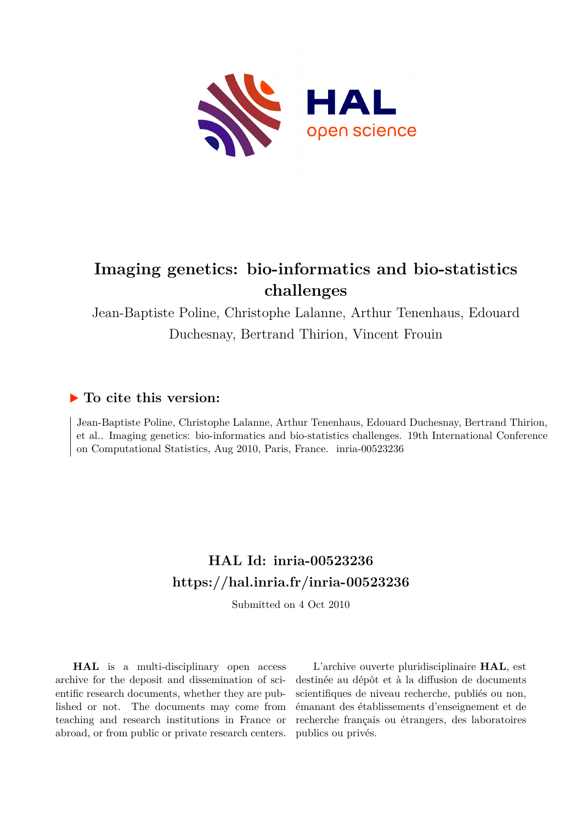

# **Imaging genetics: bio-informatics and bio-statistics challenges**

Jean-Baptiste Poline, Christophe Lalanne, Arthur Tenenhaus, Edouard Duchesnay, Bertrand Thirion, Vincent Frouin

# **To cite this version:**

Jean-Baptiste Poline, Christophe Lalanne, Arthur Tenenhaus, Edouard Duchesnay, Bertrand Thirion, et al.. Imaging genetics: bio-informatics and bio-statistics challenges. 19th International Conference on Computational Statistics, Aug 2010, Paris, France. inria-00523236

# **HAL Id: inria-00523236 <https://hal.inria.fr/inria-00523236>**

Submitted on 4 Oct 2010

**HAL** is a multi-disciplinary open access archive for the deposit and dissemination of scientific research documents, whether they are published or not. The documents may come from teaching and research institutions in France or abroad, or from public or private research centers.

L'archive ouverte pluridisciplinaire **HAL**, est destinée au dépôt et à la diffusion de documents scientifiques de niveau recherche, publiés ou non, émanant des établissements d'enseignement et de recherche français ou étrangers, des laboratoires publics ou privés.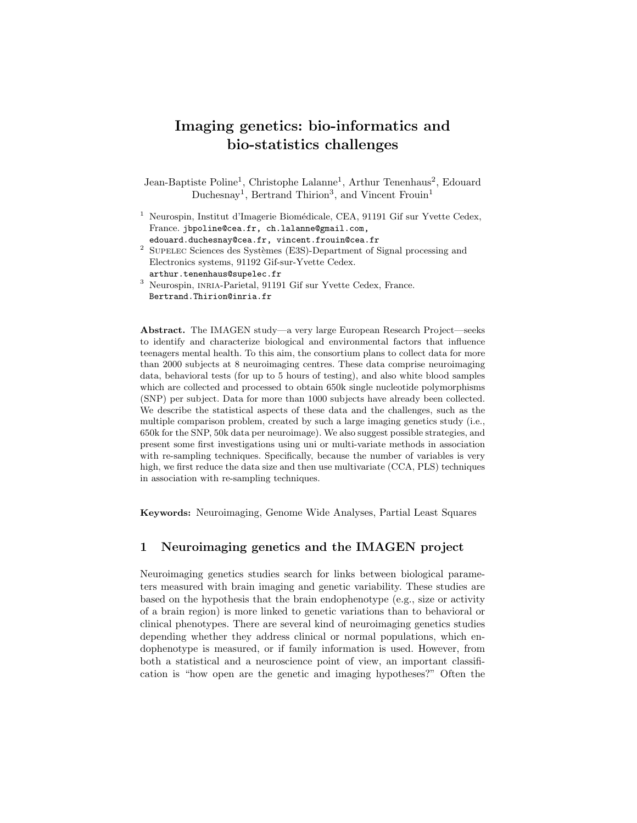# Imaging genetics: bio-informatics and bio-statistics challenges

Jean-Baptiste Poline<sup>1</sup>, Christophe Lalanne<sup>1</sup>, Arthur Tenenhaus<sup>2</sup>, Edouard Duchesnay<sup>1</sup>, Bertrand Thirion<sup>3</sup>, and Vincent Frouin<sup>1</sup>

- <sup>1</sup> Neurospin, Institut d'Imagerie Biomédicale, CEA, 91191 Gif sur Yvette Cedex, France. jbpoline@cea.fr, ch.lalanne@gmail.com, edouard.duchesnay@cea.fr, vincent.frouin@cea.fr
- $2$  SUPELEC Sciences des Systèmes (E3S)-Department of Signal processing and Electronics systems, 91192 Gif-sur-Yvette Cedex. arthur.tenenhaus@supelec.fr
- $^3$  Neurospin, INRIA-Parietal, 91191 Gif sur Yvette Cedex, France. Bertrand.Thirion@inria.fr

Abstract. The IMAGEN study—a very large European Research Project—seeks to identify and characterize biological and environmental factors that influence teenagers mental health. To this aim, the consortium plans to collect data for more than 2000 subjects at 8 neuroimaging centres. These data comprise neuroimaging data, behavioral tests (for up to 5 hours of testing), and also white blood samples which are collected and processed to obtain 650k single nucleotide polymorphisms (SNP) per subject. Data for more than 1000 subjects have already been collected. We describe the statistical aspects of these data and the challenges, such as the multiple comparison problem, created by such a large imaging genetics study (i.e., 650k for the SNP, 50k data per neuroimage). We also suggest possible strategies, and present some first investigations using uni or multi-variate methods in association with re-sampling techniques. Specifically, because the number of variables is very high, we first reduce the data size and then use multivariate (CCA, PLS) techniques in association with re-sampling techniques.

Keywords: Neuroimaging, Genome Wide Analyses, Partial Least Squares

## 1 Neuroimaging genetics and the IMAGEN project

Neuroimaging genetics studies search for links between biological parameters measured with brain imaging and genetic variability. These studies are based on the hypothesis that the brain endophenotype (e.g., size or activity of a brain region) is more linked to genetic variations than to behavioral or clinical phenotypes. There are several kind of neuroimaging genetics studies depending whether they address clinical or normal populations, which endophenotype is measured, or if family information is used. However, from both a statistical and a neuroscience point of view, an important classification is "how open are the genetic and imaging hypotheses?" Often the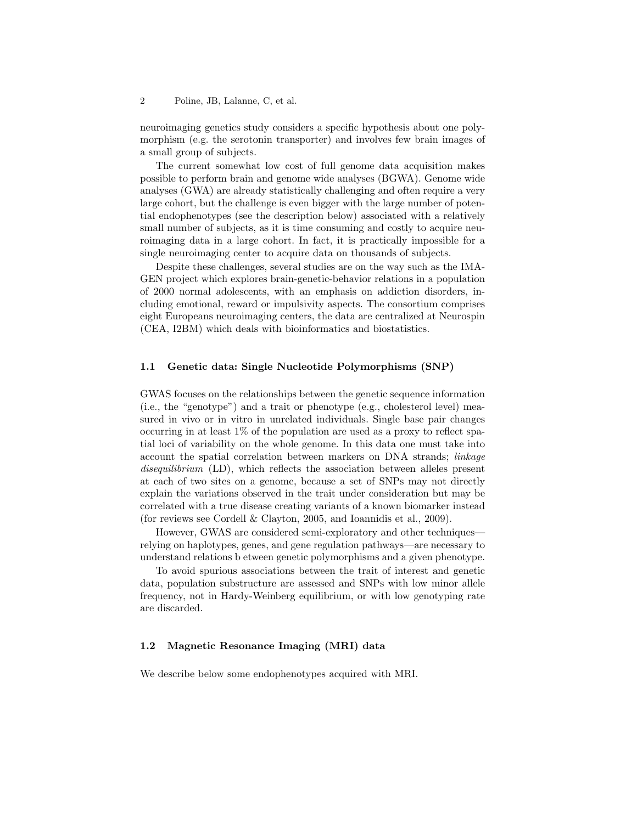neuroimaging genetics study considers a specific hypothesis about one polymorphism (e.g. the serotonin transporter) and involves few brain images of a small group of subjects.

The current somewhat low cost of full genome data acquisition makes possible to perform brain and genome wide analyses (BGWA). Genome wide analyses (GWA) are already statistically challenging and often require a very large cohort, but the challenge is even bigger with the large number of potential endophenotypes (see the description below) associated with a relatively small number of subjects, as it is time consuming and costly to acquire neuroimaging data in a large cohort. In fact, it is practically impossible for a single neuroimaging center to acquire data on thousands of subjects.

Despite these challenges, several studies are on the way such as the IMA-GEN project which explores brain-genetic-behavior relations in a population of 2000 normal adolescents, with an emphasis on addiction disorders, including emotional, reward or impulsivity aspects. The consortium comprises eight Europeans neuroimaging centers, the data are centralized at Neurospin (CEA, I2BM) which deals with bioinformatics and biostatistics.

#### 1.1 Genetic data: Single Nucleotide Polymorphisms (SNP)

GWAS focuses on the relationships between the genetic sequence information (i.e., the "genotype") and a trait or phenotype (e.g., cholesterol level) measured in vivo or in vitro in unrelated individuals. Single base pair changes occurring in at least 1% of the population are used as a proxy to reflect spatial loci of variability on the whole genome. In this data one must take into account the spatial correlation between markers on DNA strands; linkage disequilibrium (LD), which reflects the association between alleles present at each of two sites on a genome, because a set of SNPs may not directly explain the variations observed in the trait under consideration but may be correlated with a true disease creating variants of a known biomarker instead (for reviews see Cordell & Clayton, 2005, and Ioannidis et al., 2009).

However, GWAS are considered semi-exploratory and other techniques relying on haplotypes, genes, and gene regulation pathways—are necessary to understand relations b etween genetic polymorphisms and a given phenotype.

To avoid spurious associations between the trait of interest and genetic data, population substructure are assessed and SNPs with low minor allele frequency, not in Hardy-Weinberg equilibrium, or with low genotyping rate are discarded.

### 1.2 Magnetic Resonance Imaging (MRI) data

We describe below some endophenotypes acquired with MRI.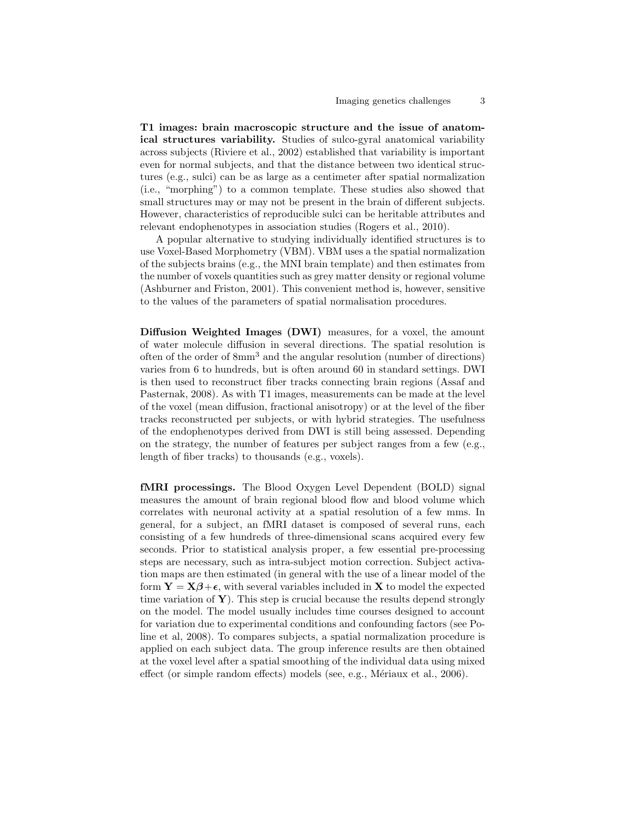T1 images: brain macroscopic structure and the issue of anatomical structures variability. Studies of sulco-gyral anatomical variability across subjects (Riviere et al., 2002) established that variability is important even for normal subjects, and that the distance between two identical structures (e.g., sulci) can be as large as a centimeter after spatial normalization (i.e., "morphing") to a common template. These studies also showed that small structures may or may not be present in the brain of different subjects. However, characteristics of reproducible sulci can be heritable attributes and relevant endophenotypes in association studies (Rogers et al., 2010).

A popular alternative to studying individually identified structures is to use Voxel-Based Morphometry (VBM). VBM uses a the spatial normalization of the subjects brains (e.g., the MNI brain template) and then estimates from the number of voxels quantities such as grey matter density or regional volume (Ashburner and Friston, 2001). This convenient method is, however, sensitive to the values of the parameters of spatial normalisation procedures.

Diffusion Weighted Images (DWI) measures, for a voxel, the amount of water molecule diffusion in several directions. The spatial resolution is often of the order of 8mm<sup>3</sup> and the angular resolution (number of directions) varies from 6 to hundreds, but is often around 60 in standard settings. DWI is then used to reconstruct fiber tracks connecting brain regions (Assaf and Pasternak, 2008). As with T1 images, measurements can be made at the level of the voxel (mean diffusion, fractional anisotropy) or at the level of the fiber tracks reconstructed per subjects, or with hybrid strategies. The usefulness of the endophenotypes derived from DWI is still being assessed. Depending on the strategy, the number of features per subject ranges from a few (e.g., length of fiber tracks) to thousands (e.g., voxels).

fMRI processings. The Blood Oxygen Level Dependent (BOLD) signal measures the amount of brain regional blood flow and blood volume which correlates with neuronal activity at a spatial resolution of a few mms. In general, for a subject, an fMRI dataset is composed of several runs, each consisting of a few hundreds of three-dimensional scans acquired every few seconds. Prior to statistical analysis proper, a few essential pre-processing steps are necessary, such as intra-subject motion correction. Subject activation maps are then estimated (in general with the use of a linear model of the form  $\mathbf{Y} = \mathbf{X}\boldsymbol{\beta} + \boldsymbol{\epsilon}$ , with several variables included in  $\mathbf{X}$  to model the expected time variation of  $\mathbf{Y}$ ). This step is crucial because the results depend strongly on the model. The model usually includes time courses designed to account for variation due to experimental conditions and confounding factors (see Poline et al, 2008). To compares subjects, a spatial normalization procedure is applied on each subject data. The group inference results are then obtained at the voxel level after a spatial smoothing of the individual data using mixed effect (or simple random effects) models (see, e.g., Mériaux et al., 2006).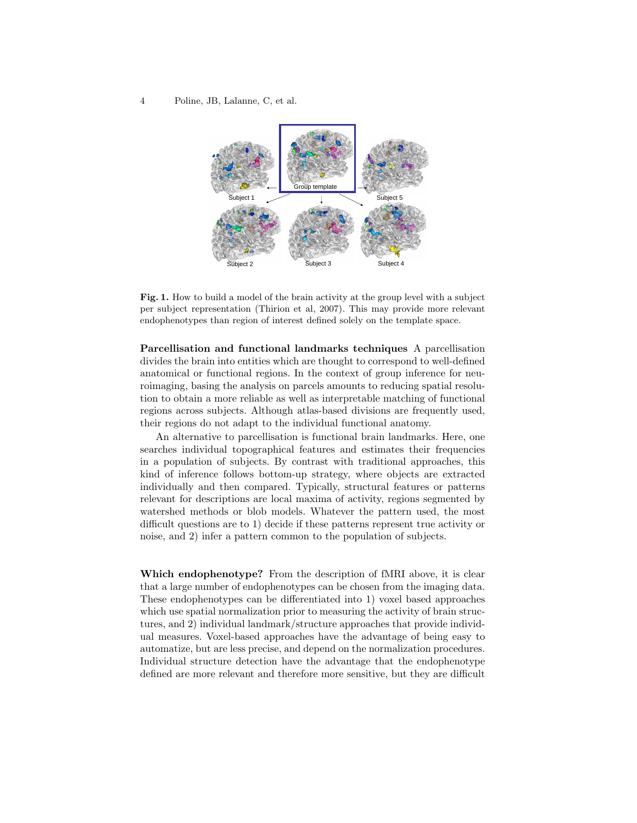4 Poline, JB, Lalanne, C, et al.



Fig. 1. How to build a model of the brain activity at the group level with a subject per subject representation (Thirion et al, 2007). This may provide more relevant endophenotypes than region of interest defined solely on the template space.

Parcellisation and functional landmarks techniques A parcellisation divides the brain into entities which are thought to correspond to well-defined anatomical or functional regions. In the context of group inference for neuroimaging, basing the analysis on parcels amounts to reducing spatial resolution to obtain a more reliable as well as interpretable matching of functional regions across subjects. Although atlas-based divisions are frequently used, their regions do not adapt to the individual functional anatomy.

An alternative to parcellisation is functional brain landmarks. Here, one searches individual topographical features and estimates their frequencies in a population of subjects. By contrast with traditional approaches, this kind of inference follows bottom-up strategy, where objects are extracted individually and then compared. Typically, structural features or patterns relevant for descriptions are local maxima of activity, regions segmented by watershed methods or blob models. Whatever the pattern used, the most difficult questions are to 1) decide if these patterns represent true activity or noise, and 2) infer a pattern common to the population of subjects.

Which endophenotype? From the description of fMRI above, it is clear that a large number of endophenotypes can be chosen from the imaging data. These endophenotypes can be differentiated into 1) voxel based approaches which use spatial normalization prior to measuring the activity of brain structures, and 2) individual landmark/structure approaches that provide individual measures. Voxel-based approaches have the advantage of being easy to automatize, but are less precise, and depend on the normalization procedures. Individual structure detection have the advantage that the endophenotype defined are more relevant and therefore more sensitive, but they are difficult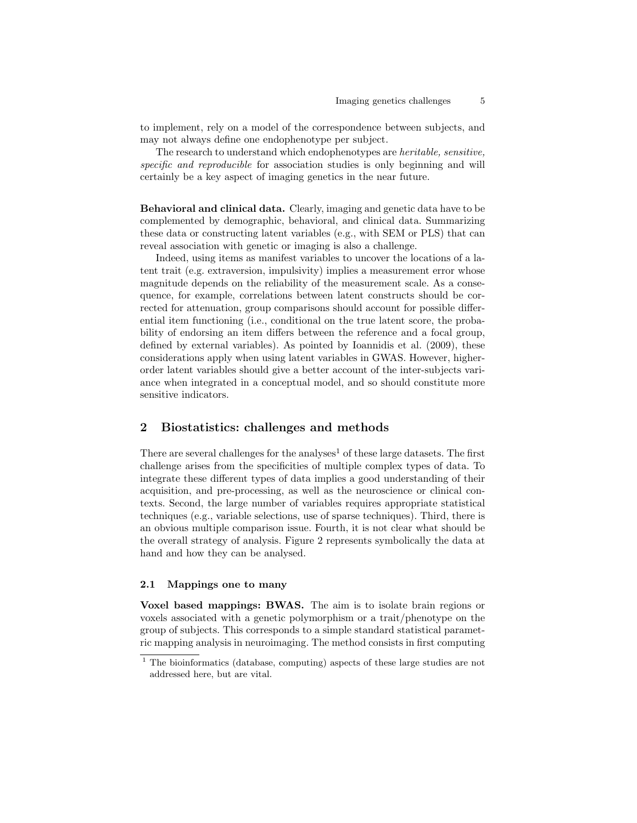to implement, rely on a model of the correspondence between subjects, and may not always define one endophenotype per subject.

The research to understand which endophenotypes are heritable, sensitive, specific and reproducible for association studies is only beginning and will certainly be a key aspect of imaging genetics in the near future.

Behavioral and clinical data. Clearly, imaging and genetic data have to be complemented by demographic, behavioral, and clinical data. Summarizing these data or constructing latent variables (e.g., with SEM or PLS) that can reveal association with genetic or imaging is also a challenge.

Indeed, using items as manifest variables to uncover the locations of a latent trait (e.g. extraversion, impulsivity) implies a measurement error whose magnitude depends on the reliability of the measurement scale. As a consequence, for example, correlations between latent constructs should be corrected for attenuation, group comparisons should account for possible differential item functioning (i.e., conditional on the true latent score, the probability of endorsing an item differs between the reference and a focal group, defined by external variables). As pointed by Ioannidis et al. (2009), these considerations apply when using latent variables in GWAS. However, higherorder latent variables should give a better account of the inter-subjects variance when integrated in a conceptual model, and so should constitute more sensitive indicators.

# 2 Biostatistics: challenges and methods

There are several challenges for the analyses<sup>1</sup> of these large datasets. The first challenge arises from the specificities of multiple complex types of data. To integrate these different types of data implies a good understanding of their acquisition, and pre-processing, as well as the neuroscience or clinical contexts. Second, the large number of variables requires appropriate statistical techniques (e.g., variable selections, use of sparse techniques). Third, there is an obvious multiple comparison issue. Fourth, it is not clear what should be the overall strategy of analysis. Figure 2 represents symbolically the data at hand and how they can be analysed.

#### 2.1 Mappings one to many

Voxel based mappings: BWAS. The aim is to isolate brain regions or voxels associated with a genetic polymorphism or a trait/phenotype on the group of subjects. This corresponds to a simple standard statistical parametric mapping analysis in neuroimaging. The method consists in first computing

 $\overline{1}$  The bioinformatics (database, computing) aspects of these large studies are not addressed here, but are vital.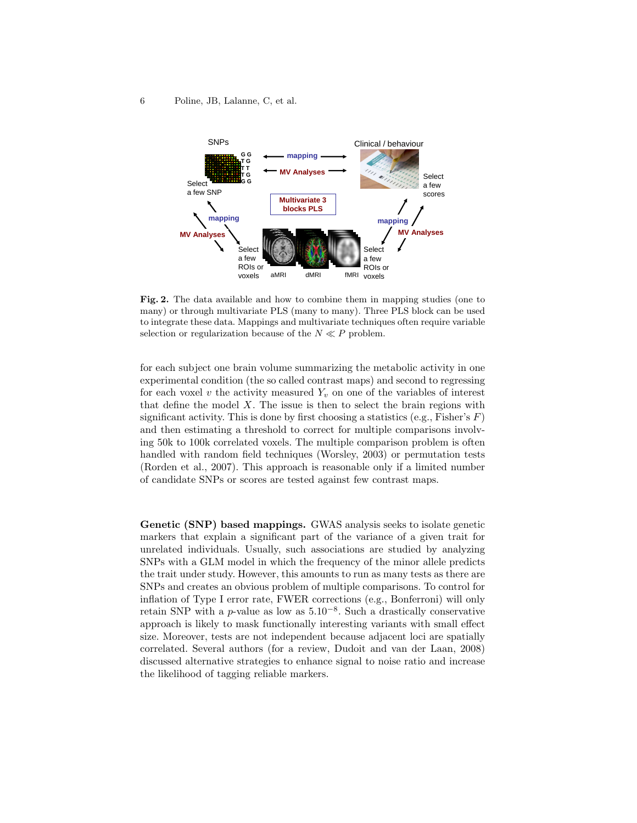6 Poline, JB, Lalanne, C, et al.



Fig. 2. The data available and how to combine them in mapping studies (one to many) or through multivariate PLS (many to many). Three PLS block can be used to integrate these data. Mappings and multivariate techniques often require variable selection or regularization because of the  $N \ll P$  problem.

for each subject one brain volume summarizing the metabolic activity in one experimental condition (the so called contrast maps) and second to regressing for each voxel  $v$  the activity measured  $Y_v$  on one of the variables of interest that define the model  $X$ . The issue is then to select the brain regions with significant activity. This is done by first choosing a statistics (e.g., Fisher's  $F$ ) and then estimating a threshold to correct for multiple comparisons involving 50k to 100k correlated voxels. The multiple comparison problem is often handled with random field techniques (Worsley, 2003) or permutation tests (Rorden et al., 2007). This approach is reasonable only if a limited number of candidate SNPs or scores are tested against few contrast maps.

Genetic (SNP) based mappings. GWAS analysis seeks to isolate genetic markers that explain a significant part of the variance of a given trait for unrelated individuals. Usually, such associations are studied by analyzing SNPs with a GLM model in which the frequency of the minor allele predicts the trait under study. However, this amounts to run as many tests as there are SNPs and creates an obvious problem of multiple comparisons. To control for inflation of Type I error rate, FWER corrections (e.g., Bonferroni) will only retain SNP with a p-value as low as  $5.10^{-8}$ . Such a drastically conservative approach is likely to mask functionally interesting variants with small effect size. Moreover, tests are not independent because adjacent loci are spatially correlated. Several authors (for a review, Dudoit and van der Laan, 2008) discussed alternative strategies to enhance signal to noise ratio and increase the likelihood of tagging reliable markers.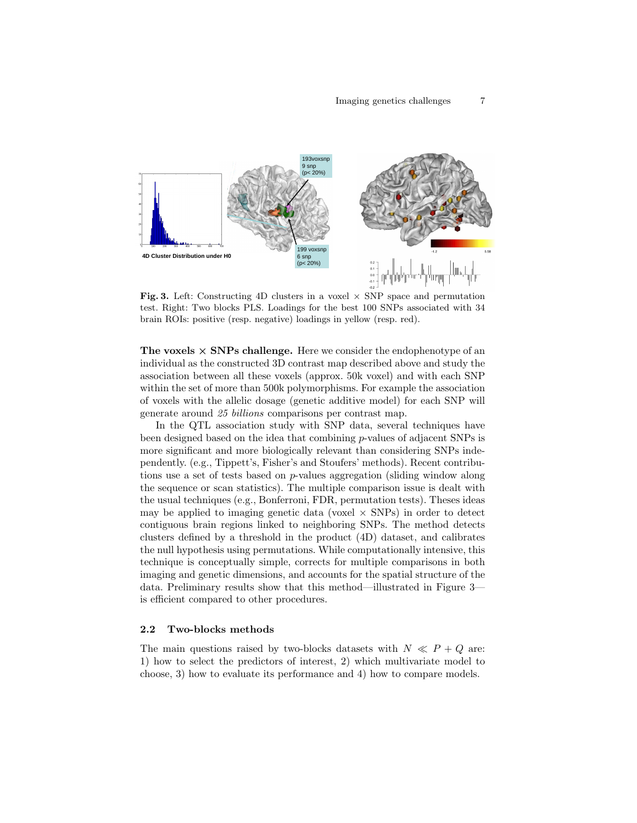

Fig. 3. Left: Constructing 4D clusters in a voxel  $\times$  SNP space and permutation test. Right: Two blocks PLS. Loadings for the best 100 SNPs associated with 34 brain ROIs: positive (resp. negative) loadings in yellow (resp. red).

The voxels  $\times$  SNPs challenge. Here we consider the endophenotype of an individual as the constructed 3D contrast map described above and study the association between all these voxels (approx. 50k voxel) and with each SNP within the set of more than 500k polymorphisms. For example the association of voxels with the allelic dosage (genetic additive model) for each SNP will generate around 25 billions comparisons per contrast map.

In the QTL association study with SNP data, several techniques have been designed based on the idea that combining p-values of adjacent SNPs is more significant and more biologically relevant than considering SNPs independently. (e.g., Tippett's, Fisher's and Stoufers' methods). Recent contributions use a set of tests based on p-values aggregation (sliding window along the sequence or scan statistics). The multiple comparison issue is dealt with the usual techniques (e.g., Bonferroni, FDR, permutation tests). Theses ideas may be applied to imaging genetic data (voxel  $\times$  SNPs) in order to detect contiguous brain regions linked to neighboring SNPs. The method detects clusters defined by a threshold in the product (4D) dataset, and calibrates the null hypothesis using permutations. While computationally intensive, this technique is conceptually simple, corrects for multiple comparisons in both imaging and genetic dimensions, and accounts for the spatial structure of the data. Preliminary results show that this method—illustrated in Figure 3 is efficient compared to other procedures.

#### 2.2 Two-blocks methods

The main questions raised by two-blocks datasets with  $N \ll P + Q$  are: 1) how to select the predictors of interest, 2) which multivariate model to choose, 3) how to evaluate its performance and 4) how to compare models.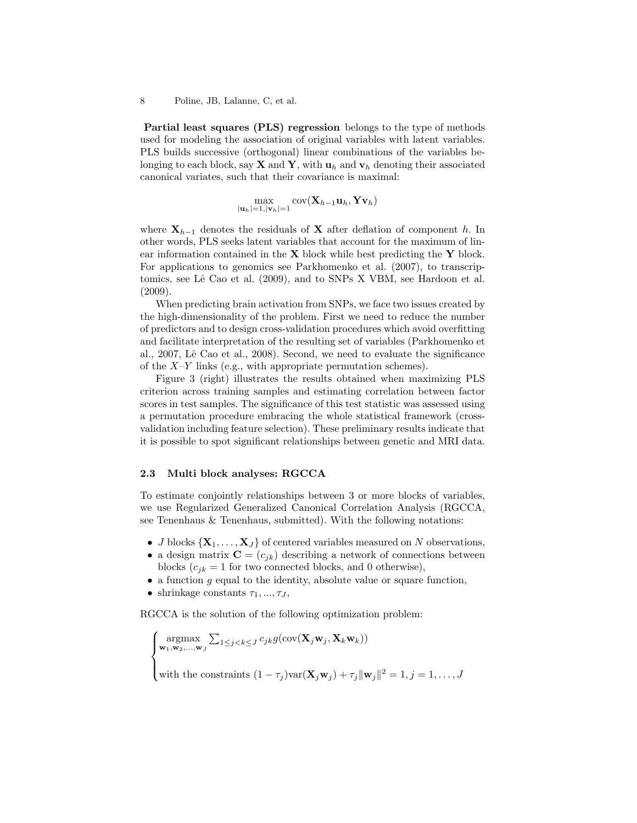Partial least squares (PLS) regression belongs to the type of methods used for modeling the association of original variables with latent variables. PLS builds successive (orthogonal) linear combinations of the variables belonging to each block, say **X** and **Y**, with  $\mathbf{u}_h$  and  $\mathbf{v}_h$  denoting their associated canonical variates, such that their covariance is maximal:

$$
\max_{|\mathbf{u}_h|=1,|\mathbf{v}_h|=1}\mathrm{cov}(\mathbf{X}_{h-1}\mathbf{u}_h,\mathbf{Y}\mathbf{v}_h)
$$

where  $\mathbf{X}_{h-1}$  denotes the residuals of X after deflation of component h. In other words, PLS seeks latent variables that account for the maximum of linear information contained in the  $X$  block while best predicting the  $Y$  block. For applications to genomics see Parkhomenko et al. (2007), to transcriptomics, see Lê Cao et al. (2009), and to SNPs X VBM, see Hardoon et al. (2009).

When predicting brain activation from SNPs, we face two issues created by the high-dimensionality of the problem. First we need to reduce the number of predictors and to design cross-validation procedures which avoid overfitting and facilitate interpretation of the resulting set of variables (Parkhomenko et al., 2007, Lˆe Cao et al., 2008). Second, we need to evaluate the significance of the  $X-Y$  links (e.g., with appropriate permutation schemes).

Figure 3 (right) illustrates the results obtained when maximizing PLS criterion across training samples and estimating correlation between factor scores in test samples. The significance of this test statistic was assessed using a permutation procedure embracing the whole statistical framework (crossvalidation including feature selection). These preliminary results indicate that it is possible to spot significant relationships between genetic and MRI data.

#### 2.3 Multi block analyses: RGCCA

To estimate conjointly relationships between 3 or more blocks of variables, we use Regularized Generalized Canonical Correlation Analysis (RGCCA, see Tenenhaus & Tenenhaus, submitted). With the following notations:

- J blocks  $\{X_1, \ldots, X_J\}$  of centered variables measured on N observations,
- a design matrix  $\mathbf{C} = (c_{ik})$  describing a network of connections between blocks  $(c_{ik} = 1$  for two connected blocks, and 0 otherwise),
- a function  $g$  equal to the identity, absolute value or square function,
- shrinkage constants  $\tau_1, ..., \tau_J$ ,

RGCCA is the solution of the following optimization problem:

$$
\begin{cases}\n\operatorname*{argmax}_{\mathbf{w}_1, \mathbf{w}_2, ..., \mathbf{w}_J} \sum_{1 \leq j < k \leq J} c_{jk} g(\text{cov}(\mathbf{X}_j \mathbf{w}_j, \mathbf{X}_k \mathbf{w}_k)) \\
\text{with the constraints } (1 - \tau_j) \text{var}(\mathbf{X}_j \mathbf{w}_j) + \tau_j \|\mathbf{w}_j\|^2 = 1, j = 1, ..., J\n\end{cases}
$$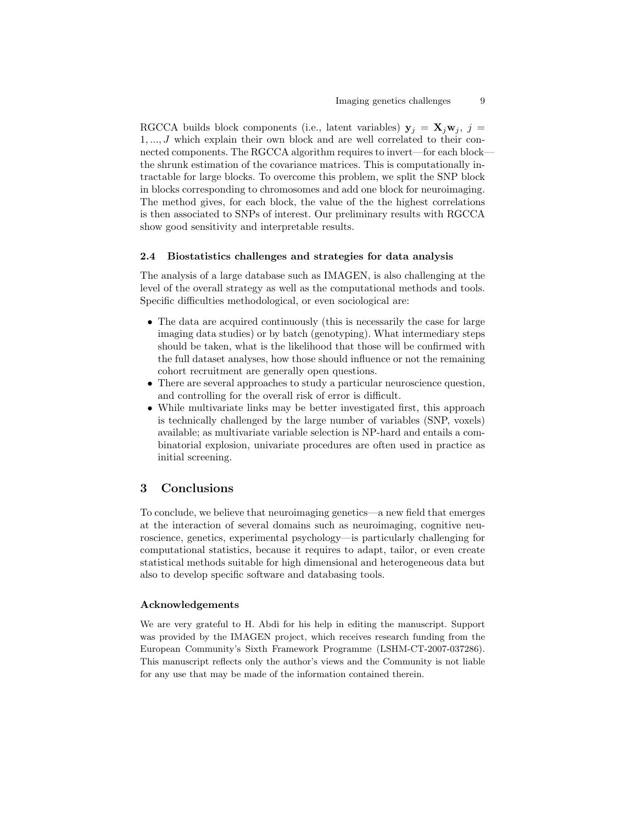RGCCA builds block components (i.e., latent variables)  $y_j = X_j w_j$ , j = 1, ..., J which explain their own block and are well correlated to their connected components. The RGCCA algorithm requires to invert—for each block the shrunk estimation of the covariance matrices. This is computationally intractable for large blocks. To overcome this problem, we split the SNP block in blocks corresponding to chromosomes and add one block for neuroimaging. The method gives, for each block, the value of the the highest correlations is then associated to SNPs of interest. Our preliminary results with RGCCA show good sensitivity and interpretable results.

#### 2.4 Biostatistics challenges and strategies for data analysis

The analysis of a large database such as IMAGEN, is also challenging at the level of the overall strategy as well as the computational methods and tools. Specific difficulties methodological, or even sociological are:

- The data are acquired continuously (this is necessarily the case for large imaging data studies) or by batch (genotyping). What intermediary steps should be taken, what is the likelihood that those will be confirmed with the full dataset analyses, how those should influence or not the remaining cohort recruitment are generally open questions.
- There are several approaches to study a particular neuroscience question, and controlling for the overall risk of error is difficult.
- While multivariate links may be better investigated first, this approach is technically challenged by the large number of variables (SNP, voxels) available; as multivariate variable selection is NP-hard and entails a combinatorial explosion, univariate procedures are often used in practice as initial screening.

## 3 Conclusions

To conclude, we believe that neuroimaging genetics—a new field that emerges at the interaction of several domains such as neuroimaging, cognitive neuroscience, genetics, experimental psychology—is particularly challenging for computational statistics, because it requires to adapt, tailor, or even create statistical methods suitable for high dimensional and heterogeneous data but also to develop specific software and databasing tools.

#### Acknowledgements

We are very grateful to H. Abdi for his help in editing the manuscript. Support was provided by the IMAGEN project, which receives research funding from the European Community's Sixth Framework Programme (LSHM-CT-2007-037286). This manuscript reflects only the author's views and the Community is not liable for any use that may be made of the information contained therein.